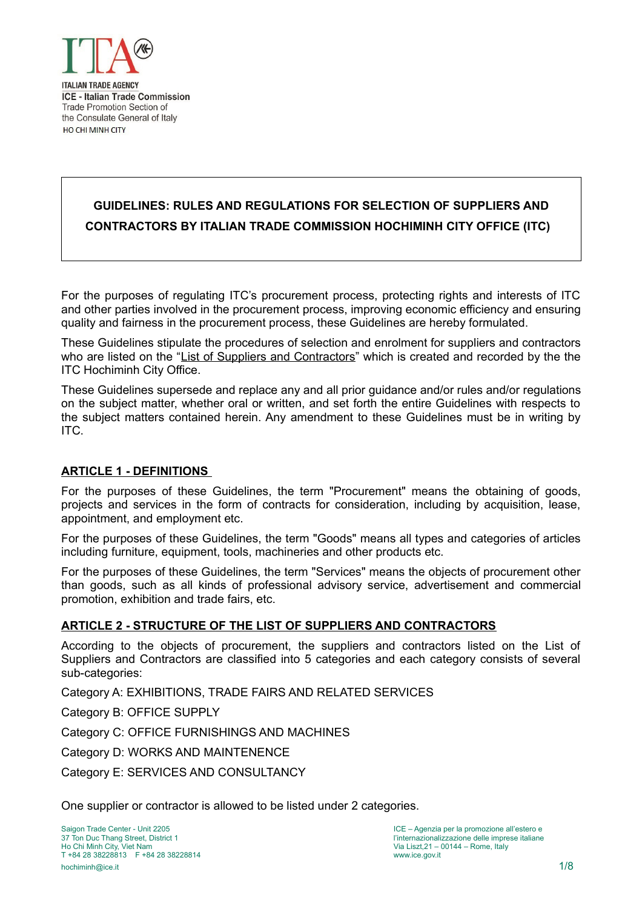

# **GUIDELINES: RULES AND REGULATIONS FOR SELECTION OF SUPPLIERS AND CONTRACTORS BY ITALIAN TRADE COMMISSION HOCHIMINH CITY OFFICE (ITC)**

For the purposes of regulating ITC's procurement process, protecting rights and interests of ITC and other parties involved in the procurement process, improving economic efficiency and ensuring quality and fairness in the procurement process, these Guidelines are hereby formulated.

These Guidelines stipulate the procedures of selection and enrolment for suppliers and contractors who are listed on the "List of Suppliers and Contractors" which is created and recorded by the the ITC Hochiminh City Office.

These Guidelines supersede and replace any and all prior guidance and/or rules and/or regulations on the subject matter, whether oral or written, and set forth the entire Guidelines with respects to the subject matters contained herein. Any amendment to these Guidelines must be in writing by ITC.

# **ARTICLE 1 - DEFINITIONS**

For the purposes of these Guidelines, the term "Procurement" means the obtaining of goods, projects and services in the form of contracts for consideration, including by acquisition, lease, appointment, and employment etc.

For the purposes of these Guidelines, the term "Goods" means all types and categories of articles including furniture, equipment, tools, machineries and other products etc.

For the purposes of these Guidelines, the term "Services" means the objects of procurement other than goods, such as all kinds of professional advisory service, advertisement and commercial promotion, exhibition and trade fairs, etc.

## **ARTICLE 2 - STRUCTURE OF THE LIST OF SUPPLIERS AND CONTRACTORS**

According to the objects of procurement, the suppliers and contractors listed on the List of Suppliers and Contractors are classified into 5 categories and each category consists of several sub-categories:

Category A: EXHIBITIONS, TRADE FAIRS AND RELATED SERVICES

Category B: OFFICE SUPPLY

Category C: OFFICE FURNISHINGS AND MACHINES

Category D: WORKS AND MAINTENENCE

Category E: SERVICES AND CONSULTANCY

One supplier or contractor is allowed to be listed under 2 categories.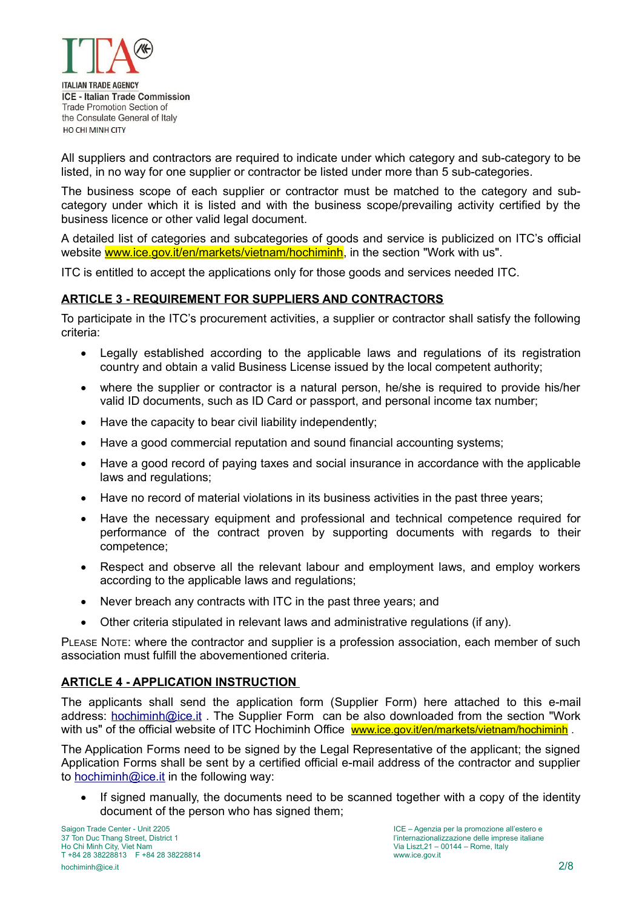

All suppliers and contractors are required to indicate under which category and sub-category to be listed, in no way for one supplier or contractor be listed under more than 5 sub-categories.

The business scope of each supplier or contractor must be matched to the category and subcategory under which it is listed and with the business scope/prevailing activity certified by the business licence or other valid legal document.

A detailed list of categories and subcategories of goods and service is publicized on ITC's official website www.ice.gov.it/en/markets/vietnam/hochiminh, in the section "Work with us".

ITC is entitled to accept the applications only for those goods and services needed ITC.

# **ARTICLE 3 - REQUIREMENT FOR SUPPLIERS AND CONTRACTORS**

To participate in the ITC's procurement activities, a supplier or contractor shall satisfy the following criteria:

- Legally established according to the applicable laws and regulations of its registration country and obtain a valid Business License issued by the local competent authority;
- where the supplier or contractor is a natural person, he/she is required to provide his/her valid ID documents, such as ID Card or passport, and personal income tax number;
- Have the capacity to bear civil liability independently:
- Have a good commercial reputation and sound financial accounting systems;
- Have a good record of paying taxes and social insurance in accordance with the applicable laws and regulations;
- Have no record of material violations in its business activities in the past three vears;
- Have the necessary equipment and professional and technical competence required for performance of the contract proven by supporting documents with regards to their competence;
- Respect and observe all the relevant labour and employment laws, and employ workers according to the applicable laws and regulations;
- Never breach any contracts with ITC in the past three years; and
- Other criteria stipulated in relevant laws and administrative regulations (if any).

PLEASE NOTE: where the contractor and supplier is a profession association, each member of such association must fulfill the abovementioned criteria.

## **ARTICLE 4 - APPLICATION INSTRUCTION**

The applicants shall send the application form (Supplier Form) here attached to this e-mail address: [hochiminh@ice.it](mailto:hochiminh@ice.it?subject=ICE%20HCMC%20Office) . The Supplier Form can be also downloaded from the section "Work with us" of the official website of ITC Hochiminh Office www.ice.gov.it/en/markets/vietnam/hochiminh.

The Application Forms need to be signed by the Legal Representative of the applicant; the signed Application Forms shall be sent by a certified official e-mail address of the contractor and supplier to [hochiminh@ice.it](mailto:hochiminh@ice.it?subject=ICE%20HCMC%20Office) in the following way:

• If signed manually, the documents need to be scanned together with a copy of the identity document of the person who has signed them;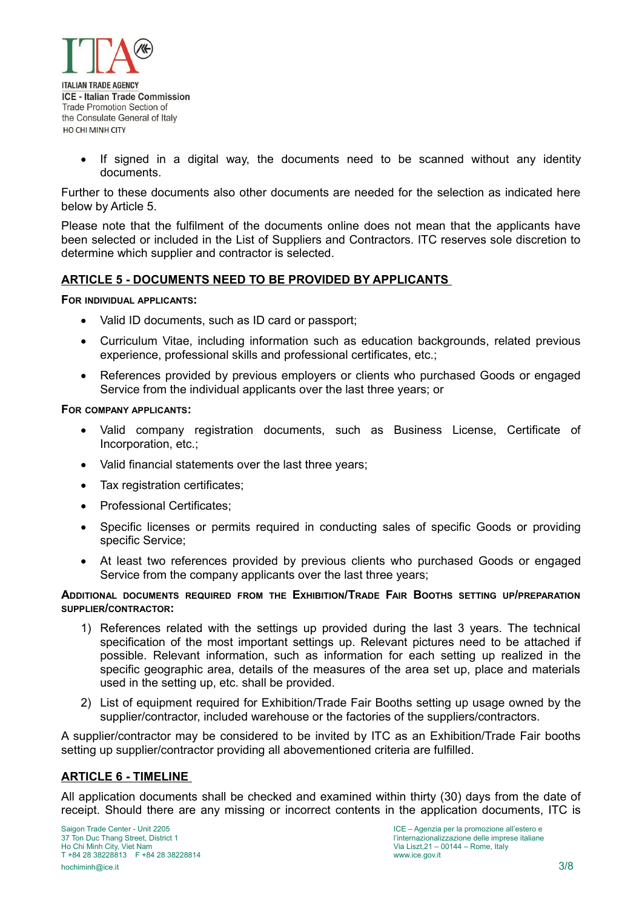

• If signed in a digital way, the documents need to be scanned without any identity documents.

Further to these documents also other documents are needed for the selection as indicated here below by Article 5.

Please note that the fulfilment of the documents online does not mean that the applicants have been selected or included in the List of Suppliers and Contractors. ITC reserves sole discretion to determine which supplier and contractor is selected.

#### **ARTICLE 5 - DOCUMENTS NEED TO BE PROVIDED BY APPLICANTS**

**FOR INDIVIDUAL APPLICANTS:** 

- Valid ID documents, such as ID card or passport;
- Curriculum Vitae, including information such as education backgrounds, related previous experience, professional skills and professional certificates, etc.;
- References provided by previous employers or clients who purchased Goods or engaged Service from the individual applicants over the last three years; or

#### **FOR COMPANY APPLICANTS:**

- Valid company registration documents, such as Business License, Certificate of Incorporation, etc.;
- Valid financial statements over the last three years;
- Tax registration certificates;
- Professional Certificates:
- Specific licenses or permits required in conducting sales of specific Goods or providing specific Service;
- At least two references provided by previous clients who purchased Goods or engaged Service from the company applicants over the last three years;

#### **ADDITIONAL DOCUMENTS REQUIRED FROM THE EXHIBITION/TRADE FAIR BOOTHS SETTING UP/PREPARATION SUPPLIER/CONTRACTOR:**

- 1) References related with the settings up provided during the last 3 years. The technical specification of the most important settings up. Relevant pictures need to be attached if possible. Relevant information, such as information for each setting up realized in the specific geographic area, details of the measures of the area set up, place and materials used in the setting up, etc. shall be provided.
- 2) List of equipment required for Exhibition/Trade Fair Booths setting up usage owned by the supplier/contractor, included warehouse or the factories of the suppliers/contractors.

A supplier/contractor may be considered to be invited by ITC as an Exhibition/Trade Fair booths setting up supplier/contractor providing all abovementioned criteria are fulfilled.

#### **ARTICLE 6 - TIMELINE**

All application documents shall be checked and examined within thirty (30) days from the date of receipt. Should there are any missing or incorrect contents in the application documents, ITC is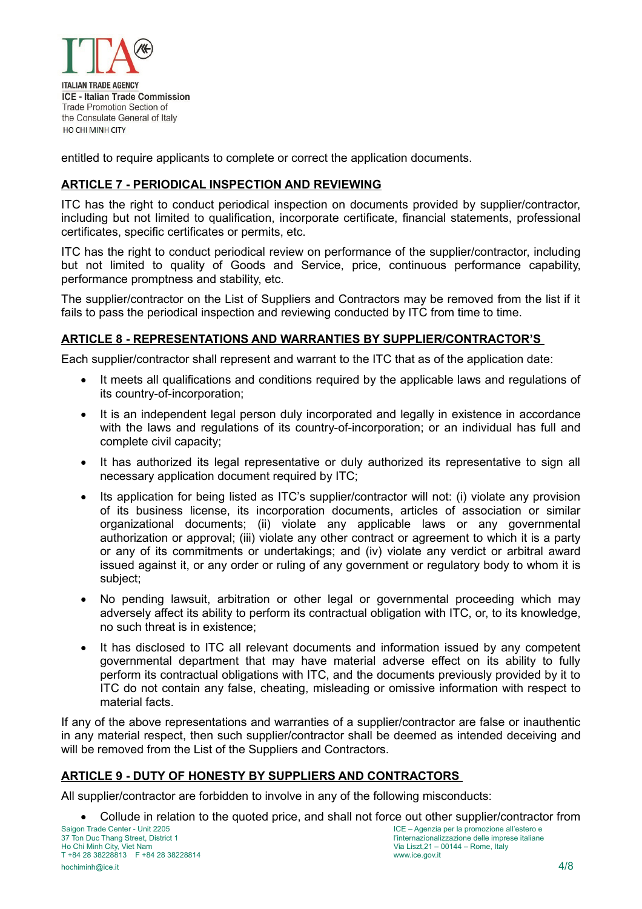

entitled to require applicants to complete or correct the application documents.

# **ARTICLE 7 - PERIODICAL INSPECTION AND REVIEWING**

ITC has the right to conduct periodical inspection on documents provided by supplier/contractor, including but not limited to qualification, incorporate certificate, financial statements, professional certificates, specific certificates or permits, etc.

ITC has the right to conduct periodical review on performance of the supplier/contractor, including but not limited to quality of Goods and Service, price, continuous performance capability, performance promptness and stability, etc.

The supplier/contractor on the List of Suppliers and Contractors may be removed from the list if it fails to pass the periodical inspection and reviewing conducted by ITC from time to time.

## **ARTICLE 8 - REPRESENTATIONS AND WARRANTIES BY SUPPLIER/CONTRACTOR'S**

Each supplier/contractor shall represent and warrant to the ITC that as of the application date:

- It meets all qualifications and conditions required by the applicable laws and regulations of its country-of-incorporation;
- It is an independent legal person duly incorporated and legally in existence in accordance with the laws and regulations of its country-of-incorporation; or an individual has full and complete civil capacity;
- It has authorized its legal representative or duly authorized its representative to sign all necessary application document required by ITC;
- Its application for being listed as ITC's supplier/contractor will not: (i) violate any provision of its business license, its incorporation documents, articles of association or similar organizational documents; (ii) violate any applicable laws or any governmental authorization or approval; (iii) violate any other contract or agreement to which it is a party or any of its commitments or undertakings; and (iv) violate any verdict or arbitral award issued against it, or any order or ruling of any government or regulatory body to whom it is subject;
- No pending lawsuit, arbitration or other legal or governmental proceeding which may adversely affect its ability to perform its contractual obligation with ITC, or, to its knowledge, no such threat is in existence;
- It has disclosed to ITC all relevant documents and information issued by any competent governmental department that may have material adverse effect on its ability to fully perform its contractual obligations with ITC, and the documents previously provided by it to ITC do not contain any false, cheating, misleading or omissive information with respect to material facts.

If any of the above representations and warranties of a supplier/contractor are false or inauthentic in any material respect, then such supplier/contractor shall be deemed as intended deceiving and will be removed from the List of the Suppliers and Contractors.

## **ARTICLE 9 - DUTY OF HONESTY BY SUPPLIERS AND CONTRACTORS**

All supplier/contractor are forbidden to involve in any of the following misconducts:

• Collude in relation to the quoted price, and shall not force out other supplier/contractor from<br>ICE – Agenzia per la promozione all'estero e<br>ICE – Agenzia per la promozione all'estero e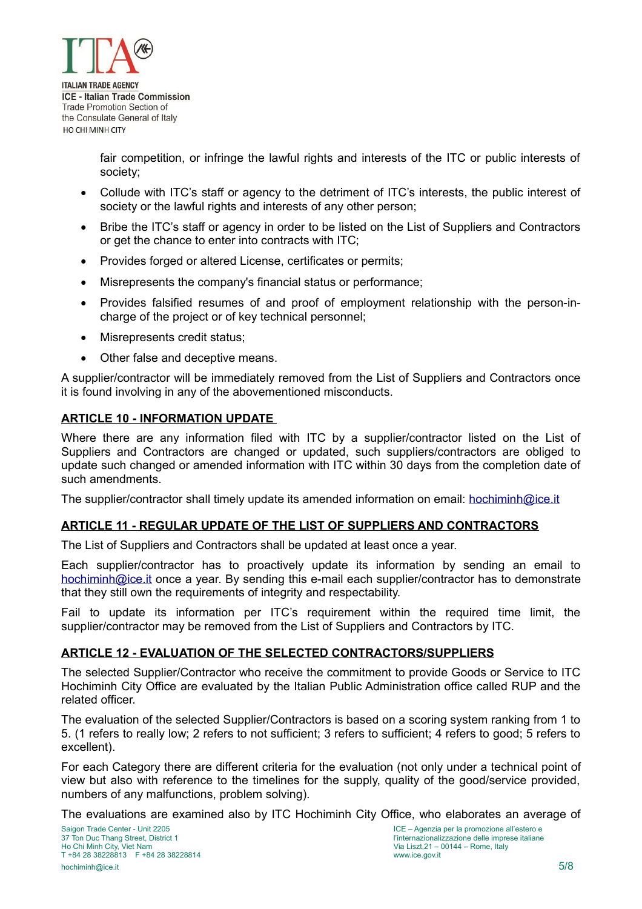

fair competition, or infringe the lawful rights and interests of the ITC or public interests of society;

- Collude with ITC's staff or agency to the detriment of ITC's interests, the public interest of society or the lawful rights and interests of any other person;
- Bribe the ITC's staff or agency in order to be listed on the List of Suppliers and Contractors or get the chance to enter into contracts with ITC;
- Provides forged or altered License, certificates or permits;
- Misrepresents the company's financial status or performance;
- Provides falsified resumes of and proof of employment relationship with the person-incharge of the project or of key technical personnel;
- Misrepresents credit status;
- Other false and deceptive means.

A supplier/contractor will be immediately removed from the List of Suppliers and Contractors once it is found involving in any of the abovementioned misconducts.

#### **ARTICLE 10 - INFORMATION UPDATE**

Where there are any information filed with ITC by a supplier/contractor listed on the List of Suppliers and Contractors are changed or updated, such suppliers/contractors are obliged to update such changed or amended information with ITC within 30 days from the completion date of such amendments.

The supplier/contractor shall timely update its amended information on email: [hochiminh@ice.it](mailto:hochiminh@ice.it?subject=ICE%20HCMC%20Office)

## **ARTICLE 11 - REGULAR UPDATE OF THE LIST OF SUPPLIERS AND CONTRACTORS**

The List of Suppliers and Contractors shall be updated at least once a year.

Each supplier/contractor has to proactively update its information by sending an email to [hochiminh@ice.it](mailto:hochiminh@ice.it?subject=ICE%20HCMC%20Office) once a year. By sending this e-mail each supplier/contractor has to demonstrate that they still own the requirements of integrity and respectability.

Fail to update its information per ITC's requirement within the required time limit, the supplier/contractor may be removed from the List of Suppliers and Contractors by ITC.

#### **ARTICLE 12 - EVALUATION OF THE SELECTED CONTRACTORS/SUPPLIERS**

The selected Supplier/Contractor who receive the commitment to provide Goods or Service to ITC Hochiminh City Office are evaluated by the Italian Public Administration office called RUP and the related officer.

The evaluation of the selected Supplier/Contractors is based on a scoring system ranking from 1 to 5. (1 refers to really low; 2 refers to not sufficient; 3 refers to sufficient; 4 refers to good; 5 refers to excellent).

For each Category there are different criteria for the evaluation (not only under a technical point of view but also with reference to the timelines for the supply, quality of the good/service provided, numbers of any malfunctions, problem solving).

The evaluations are examined also by ITC Hochiminh City Office, who elaborates an average of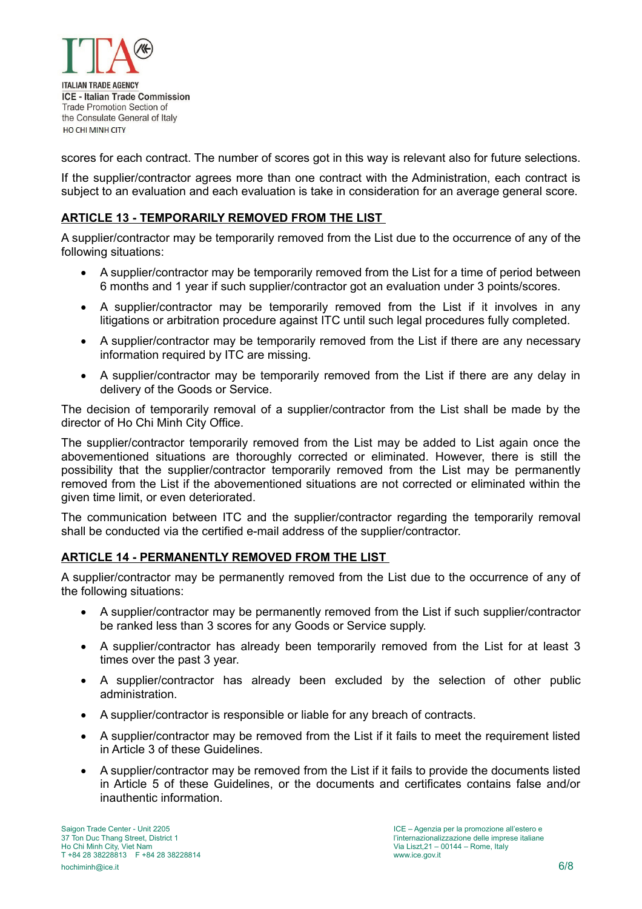

scores for each contract. The number of scores got in this way is relevant also for future selections.

If the supplier/contractor agrees more than one contract with the Administration, each contract is subject to an evaluation and each evaluation is take in consideration for an average general score.

## **ARTICLE 13 - TEMPORARILY REMOVED FROM THE LIST**

A supplier/contractor may be temporarily removed from the List due to the occurrence of any of the following situations:

- A supplier/contractor may be temporarily removed from the List for a time of period between 6 months and 1 year if such supplier/contractor got an evaluation under 3 points/scores.
- A supplier/contractor may be temporarily removed from the List if it involves in any litigations or arbitration procedure against ITC until such legal procedures fully completed.
- A supplier/contractor may be temporarily removed from the List if there are any necessary information required by ITC are missing.
- A supplier/contractor may be temporarily removed from the List if there are any delay in delivery of the Goods or Service.

The decision of temporarily removal of a supplier/contractor from the List shall be made by the director of Ho Chi Minh City Office.

The supplier/contractor temporarily removed from the List may be added to List again once the abovementioned situations are thoroughly corrected or eliminated. However, there is still the possibility that the supplier/contractor temporarily removed from the List may be permanently removed from the List if the abovementioned situations are not corrected or eliminated within the given time limit, or even deteriorated.

The communication between ITC and the supplier/contractor regarding the temporarily removal shall be conducted via the certified e-mail address of the supplier/contractor.

## **ARTICLE 14 - PERMANENTLY REMOVED FROM THE LIST**

A supplier/contractor may be permanently removed from the List due to the occurrence of any of the following situations:

- A supplier/contractor may be permanently removed from the List if such supplier/contractor be ranked less than 3 scores for any Goods or Service supply.
- A supplier/contractor has already been temporarily removed from the List for at least 3 times over the past 3 year.
- A supplier/contractor has already been excluded by the selection of other public administration.
- A supplier/contractor is responsible or liable for any breach of contracts.
- A supplier/contractor may be removed from the List if it fails to meet the requirement listed in Article 3 of these Guidelines.
- A supplier/contractor may be removed from the List if it fails to provide the documents listed in Article 5 of these Guidelines, or the documents and certificates contains false and/or inauthentic information.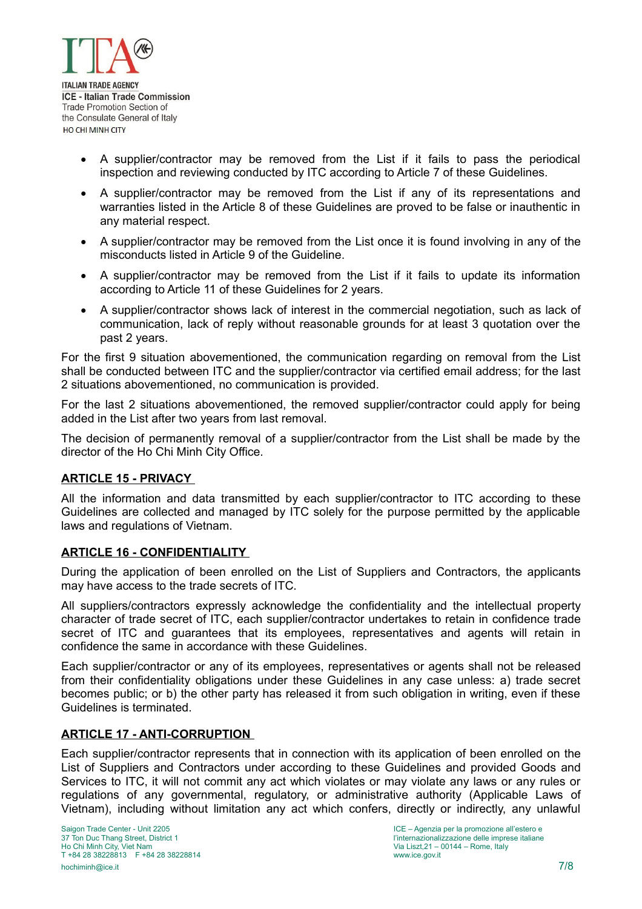

- A supplier/contractor may be removed from the List if it fails to pass the periodical inspection and reviewing conducted by ITC according to Article 7 of these Guidelines.
- A supplier/contractor may be removed from the List if any of its representations and warranties listed in the Article 8 of these Guidelines are proved to be false or inauthentic in any material respect.
- A supplier/contractor may be removed from the List once it is found involving in any of the misconducts listed in Article 9 of the Guideline.
- A supplier/contractor may be removed from the List if it fails to update its information according to Article 11 of these Guidelines for 2 years.
- A supplier/contractor shows lack of interest in the commercial negotiation, such as lack of communication, lack of reply without reasonable grounds for at least 3 quotation over the past 2 years.

For the first 9 situation abovementioned, the communication regarding on removal from the List shall be conducted between ITC and the supplier/contractor via certified email address; for the last 2 situations abovementioned, no communication is provided.

For the last 2 situations abovementioned, the removed supplier/contractor could apply for being added in the List after two years from last removal.

The decision of permanently removal of a supplier/contractor from the List shall be made by the director of the Ho Chi Minh City Office.

# **ARTICLE 15 - PRIVACY**

All the information and data transmitted by each supplier/contractor to ITC according to these Guidelines are collected and managed by ITC solely for the purpose permitted by the applicable laws and regulations of Vietnam.

## **ARTICLE 16 - CONFIDENTIALITY**

During the application of been enrolled on the List of Suppliers and Contractors, the applicants may have access to the trade secrets of ITC.

All suppliers/contractors expressly acknowledge the confidentiality and the intellectual property character of trade secret of ITC, each supplier/contractor undertakes to retain in confidence trade secret of ITC and guarantees that its employees, representatives and agents will retain in confidence the same in accordance with these Guidelines.

Each supplier/contractor or any of its employees, representatives or agents shall not be released from their confidentiality obligations under these Guidelines in any case unless: a) trade secret becomes public; or b) the other party has released it from such obligation in writing, even if these Guidelines is terminated.

## **ARTICLE 17 - ANTI-CORRUPTION**

Each supplier/contractor represents that in connection with its application of been enrolled on the List of Suppliers and Contractors under according to these Guidelines and provided Goods and Services to ITC, it will not commit any act which violates or may violate any laws or any rules or regulations of any governmental, regulatory, or administrative authority (Applicable Laws of Vietnam), including without limitation any act which confers, directly or indirectly, any unlawful